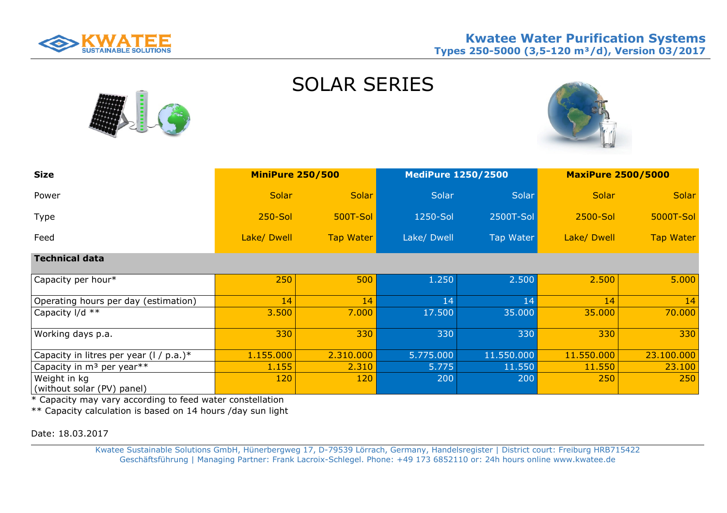

| <b>Size</b>                                | <b>MiniPure 250/500</b> |                  | <b>MediPure 1250/2500</b> |            | <b>MaxiPure 2500/5000</b> |                  |
|--------------------------------------------|-------------------------|------------------|---------------------------|------------|---------------------------|------------------|
| Power                                      | <b>Solar</b>            | <b>Solar</b>     | Solar                     | Solar      | <b>Solar</b>              | Solar            |
| Type                                       | <b>250-Sol</b>          | <b>500T-Sol</b>  | 1250-Sol                  | 2500T-Sol  | 2500-Sol                  | 5000T-Sol        |
| Feed                                       | Lake/ Dwell             | <b>Tap Water</b> | Lake/ Dwell               | Tap Water  | Lake/ Dwell               | <b>Tap Water</b> |
| <b>Technical data</b>                      |                         |                  |                           |            |                           |                  |
| Capacity per hour*                         | 250                     | 500              | 1.250                     | 2.500      | 2.500                     | 5.000            |
| Operating hours per day (estimation)       | 14                      | 14               | 14                        | 14         | 14                        | 14               |
| Capacity I/d **                            | 3.500                   | 7.000            | 17.500                    | 35.000     | 35.000                    | 70.000           |
| Working days p.a.                          | 330                     | 330              | 330                       | 330        | 330                       | 330              |
| Capacity in litres per year $(1 / p.a.)$ * | 1.155.000               | 2.310.000        | 5.775.000                 | 11.550.000 | 11.550.000                | 23.100.000       |
| Capacity in m <sup>3</sup> per year**      | 1.155                   | 2.310            | 5.775                     | 11.550     | 11.550                    | 23.100           |
| Weight in kg<br>(without solar (PV) panel) | 120                     | 120              | 200                       | 200        | 250                       | 250              |

SOLAR SERIES

\* Capacity may vary according to feed water constellation

\*\* Capacity calculation is based on 14 hours /day sun light

Date: 18.03.2017

Kwatee Sustainable Solutions GmbH, Hünerbergweg 17, D-79539 Lörrach, Germany, Handelsregister | District court: Freiburg HRB715422 Geschäftsführung | Managing Partner: Frank Lacroix-Schlegel. Phone: +49 173 6852110 or: 24h hours online www.kwatee.de